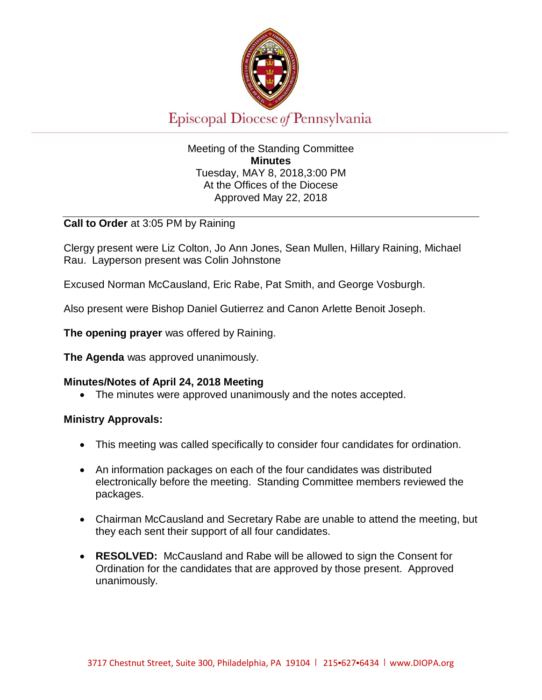

# Episcopal Diocese of Pennsylvania

## Meeting of the Standing Committee **Minutes** Tuesday, MAY 8, 2018,3:00 PM At the Offices of the Diocese Approved May 22, 2018

## **Call to Order** at 3:05 PM by Raining

Clergy present were Liz Colton, Jo Ann Jones, Sean Mullen, Hillary Raining, Michael Rau. Layperson present was Colin Johnstone

Excused Norman McCausland, Eric Rabe, Pat Smith, and George Vosburgh.

Also present were Bishop Daniel Gutierrez and Canon Arlette Benoit Joseph.

**The opening prayer** was offered by Raining.

**The Agenda** was approved unanimously.

## **Minutes/Notes of April 24, 2018 Meeting**

• The minutes were approved unanimously and the notes accepted.

## **Ministry Approvals:**

- This meeting was called specifically to consider four candidates for ordination.
- An information packages on each of the four candidates was distributed electronically before the meeting. Standing Committee members reviewed the packages.
- Chairman McCausland and Secretary Rabe are unable to attend the meeting, but they each sent their support of all four candidates.
- **RESOLVED:** McCausland and Rabe will be allowed to sign the Consent for Ordination for the candidates that are approved by those present. Approved unanimously.